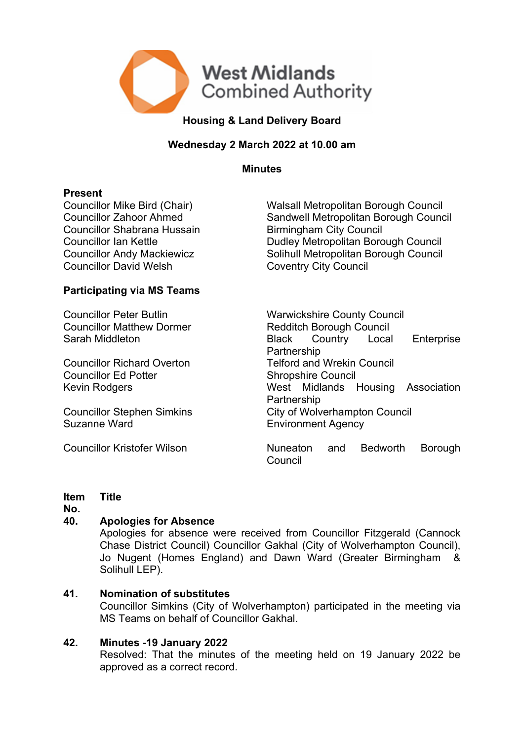

# **Housing & Land Delivery Board**

# **Wednesday 2 March 2022 at 10.00 am**

**Minutes**

**Present**<br>Councillor Mike Bird (Chair) Councillor Shabrana Hussain Birmingham City Council Councillor David Welsh Coventry City Council

Walsall Metropolitan Borough Council Councillor Zahoor Ahmed Sandwell Metropolitan Borough Council Councillor Ian Kettle **Dudley Metropolitan Borough Council** Councillor Andy Mackiewicz Solihull Metropolitan Borough Council

# **Participating via MS Teams**

Councillor Matthew Dormer Redditch Borough Council

Councillor Ed Potter Shropshire Council

Suzanne Ward **Environment Agency** 

Councillor Peter Butlin Warwickshire County Council Sarah Middleton Black Country Local Enterprise **Partnership** Councillor Richard Overton Telford and Wrekin Council Kevin Rodgers West Midlands Housing Association **Partnership** Councillor Stephen Simkins City of Wolverhampton Council

Councillor Kristofer Wilson **Nuneaton** and Bedworth Borough Council

#### **Item Title**

**No.**

# **40. Apologies for Absence**

Apologies for absence were received from Councillor Fitzgerald (Cannock Chase District Council) Councillor Gakhal (City of Wolverhampton Council), Jo Nugent (Homes England) and Dawn Ward (Greater Birmingham & Solihull LEP).

# **41. Nomination of substitutes**

Councillor Simkins (City of Wolverhampton) participated in the meeting via MS Teams on behalf of Councillor Gakhal.

# **42. Minutes -19 January 2022**

Resolved: That the minutes of the meeting held on 19 January 2022 be approved as a correct record.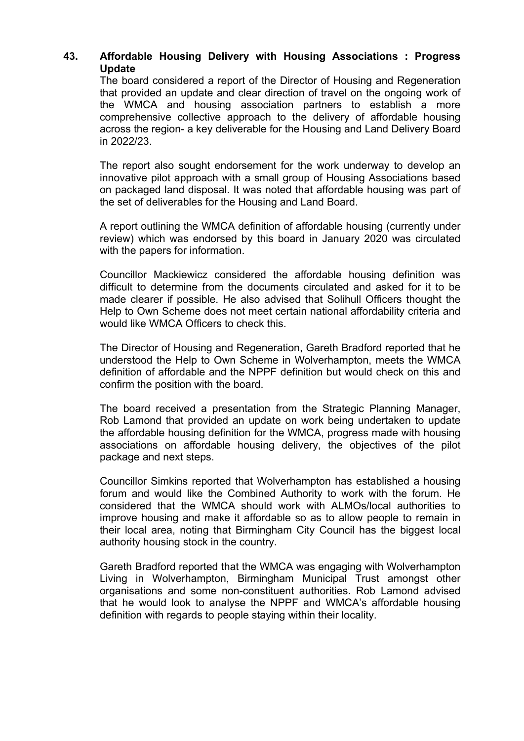# **43. Affordable Housing Delivery with Housing Associations : Progress Update**

The board considered a report of the Director of Housing and Regeneration that provided an update and clear direction of travel on the ongoing work of the WMCA and housing association partners to establish a more comprehensive collective approach to the delivery of affordable housing across the region- a key deliverable for the Housing and Land Delivery Board in 2022/23.

The report also sought endorsement for the work underway to develop an innovative pilot approach with a small group of Housing Associations based on packaged land disposal. It was noted that affordable housing was part of the set of deliverables for the Housing and Land Board.

A report outlining the WMCA definition of affordable housing (currently under review) which was endorsed by this board in January 2020 was circulated with the papers for information.

Councillor Mackiewicz considered the affordable housing definition was difficult to determine from the documents circulated and asked for it to be made clearer if possible. He also advised that Solihull Officers thought the Help to Own Scheme does not meet certain national affordability criteria and would like WMCA Officers to check this.

The Director of Housing and Regeneration, Gareth Bradford reported that he understood the Help to Own Scheme in Wolverhampton, meets the WMCA definition of affordable and the NPPF definition but would check on this and confirm the position with the board.

The board received a presentation from the Strategic Planning Manager, Rob Lamond that provided an update on work being undertaken to update the affordable housing definition for the WMCA, progress made with housing associations on affordable housing delivery, the objectives of the pilot package and next steps.

Councillor Simkins reported that Wolverhampton has established a housing forum and would like the Combined Authority to work with the forum. He considered that the WMCA should work with ALMOs/local authorities to improve housing and make it affordable so as to allow people to remain in their local area, noting that Birmingham City Council has the biggest local authority housing stock in the country.

Gareth Bradford reported that the WMCA was engaging with Wolverhampton Living in Wolverhampton, Birmingham Municipal Trust amongst other organisations and some non-constituent authorities. Rob Lamond advised that he would look to analyse the NPPF and WMCA's affordable housing definition with regards to people staying within their locality.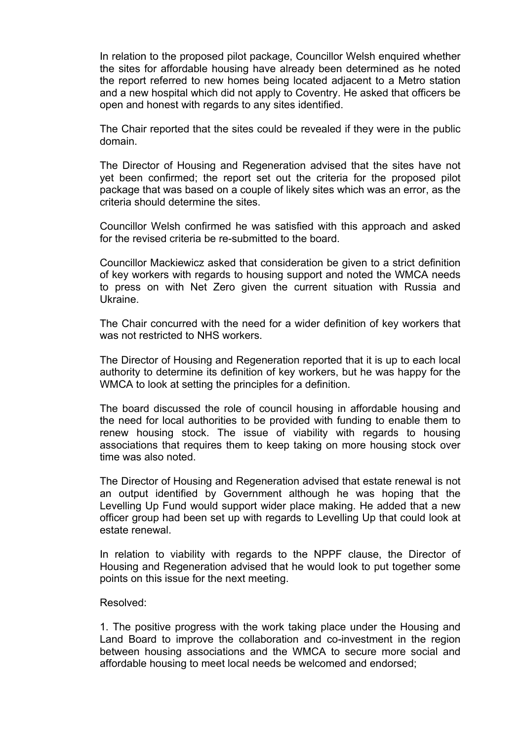In relation to the proposed pilot package, Councillor Welsh enquired whether the sites for affordable housing have already been determined as he noted the report referred to new homes being located adjacent to a Metro station and a new hospital which did not apply to Coventry. He asked that officers be open and honest with regards to any sites identified.

The Chair reported that the sites could be revealed if they were in the public domain.

The Director of Housing and Regeneration advised that the sites have not yet been confirmed; the report set out the criteria for the proposed pilot package that was based on a couple of likely sites which was an error, as the criteria should determine the sites.

Councillor Welsh confirmed he was satisfied with this approach and asked for the revised criteria be re-submitted to the board.

Councillor Mackiewicz asked that consideration be given to a strict definition of key workers with regards to housing support and noted the WMCA needs to press on with Net Zero given the current situation with Russia and Ukraine.

The Chair concurred with the need for a wider definition of key workers that was not restricted to NHS workers.

The Director of Housing and Regeneration reported that it is up to each local authority to determine its definition of key workers, but he was happy for the WMCA to look at setting the principles for a definition.

The board discussed the role of council housing in affordable housing and the need for local authorities to be provided with funding to enable them to renew housing stock. The issue of viability with regards to housing associations that requires them to keep taking on more housing stock over time was also noted.

The Director of Housing and Regeneration advised that estate renewal is not an output identified by Government although he was hoping that the Levelling Up Fund would support wider place making. He added that a new officer group had been set up with regards to Levelling Up that could look at estate renewal.

In relation to viability with regards to the NPPF clause, the Director of Housing and Regeneration advised that he would look to put together some points on this issue for the next meeting.

#### Resolved:

1. The positive progress with the work taking place under the Housing and Land Board to improve the collaboration and co-investment in the region between housing associations and the WMCA to secure more social and affordable housing to meet local needs be welcomed and endorsed;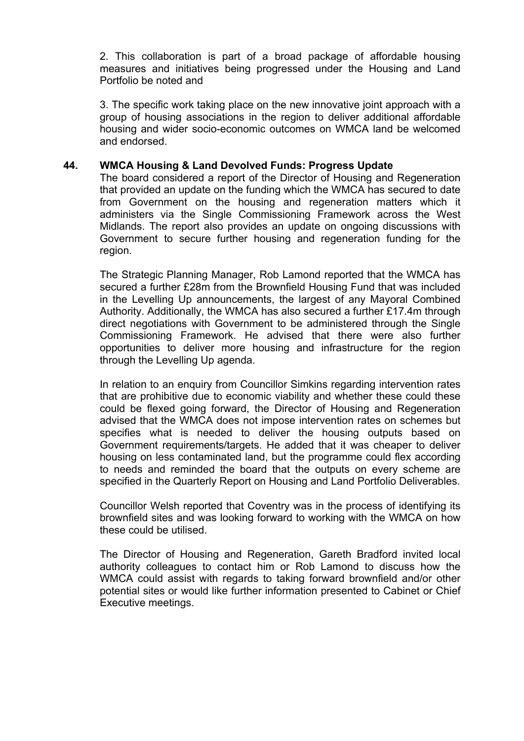2. This collaboration is part of a broad package of affordable housing measures and initiatives being progressed under the Housing and Land Portfolio be noted and

3. The specific work taking place on the new innovative joint approach with a group of housing associations in the region to deliver additional affordable housing and wider socio-economic outcomes on WMCA land be welcomed and endorsed.

### **44. WMCA Housing & Land Devolved Funds: Progress Update**

The board considered a report of the Director of Housing and Regeneration that provided an update on the funding which the WMCA has secured to date from Government on the housing and regeneration matters which it administers via the Single Commissioning Framework across the West Midlands. The report also provides an update on ongoing discussions with Government to secure further housing and regeneration funding for the region.

The Strategic Planning Manager, Rob Lamond reported that the WMCA has secured a further £28m from the Brownfield Housing Fund that was included in the Levelling Up announcements, the largest of any Mayoral Combined Authority. Additionally, the WMCA has also secured a further £17.4m through direct negotiations with Government to be administered through the Single Commissioning Framework. He advised that there were also further opportunities to deliver more housing and infrastructure for the region through the Levelling Up agenda.

In relation to an enquiry from Councillor Simkins regarding intervention rates that are prohibitive due to economic viability and whether these could these could be flexed going forward, the Director of Housing and Regeneration advised that the WMCA does not impose intervention rates on schemes but specifies what is needed to deliver the housing outputs based on Government requirements/targets. He added that it was cheaper to deliver housing on less contaminated land, but the programme could flex according to needs and reminded the board that the outputs on every scheme are specified in the Quarterly Report on Housing and Land Portfolio Deliverables.

Councillor Welsh reported that Coventry was in the process of identifying its brownfield sites and was looking forward to working with the WMCA on how these could be utilised.

The Director of Housing and Regeneration, Gareth Bradford invited local authority colleagues to contact him or Rob Lamond to discuss how the WMCA could assist with regards to taking forward brownfield and/or other potential sites or would like further information presented to Cabinet or Chief Executive meetings.